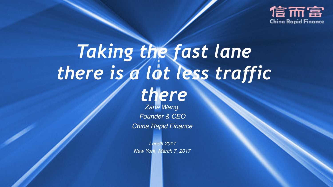

# *Taking the fast lane there is a lot less traffic*

*Zane Wang, there*

*Founder & CEO China Rapid Finance*

*LendIt 2017 New York, March 7, 2017*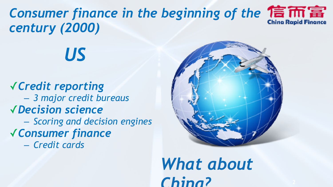**Consumer finance in the beginning of the 信而富** *century (2000)*

*US*

✓*Credit reporting*  – *3 major credit bureaus* ✓*Decision science* – *Scoring and decision engines*  ✓*Consumer finance* 

– *Credit cards*



*What about China?*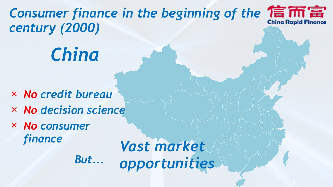**Consumer finance in the beginning of the 信而富** *century (2000)*

## *China*

× *No credit bureau*  × *No decision science* 

 *But...*

× *No consumer finance* 

*Vast market opportunities*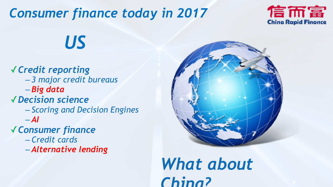### *Consumer finance today in 2017*



*US*

✓*Credit reporting*  – *3 major credit bureaus*  – *Big data*  ✓*Decision science*  – *Scoring and Decision Engines*   $-AI$ ✓*Consumer finance*  – *Credit cards*  – *Alternative lending*



*What about China?*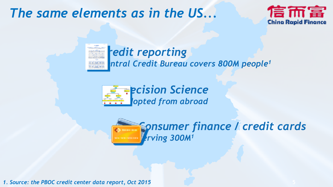#### *The same elements as in the US...*



#### *<u>redit</u> reporting* **ntral Credit Bureau covers 800M people<sup>1</sup>**



*Consumer finance / credit cards Serving 300M1*

*1. Source: the PBOC credit center data report, Oct 2015*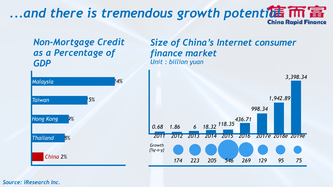## *...and there is tremendous growth potenti偏*  $\overline{m}$

#### *Non-Mortgage Credit as a Percentage of GDP*



#### *Size of China's Internet consumer finance market Unit : billion yuan*



*Source: iResearch Inc.*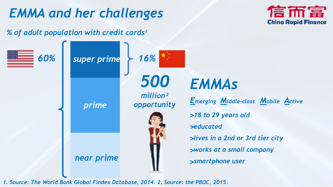### *EMMA and her challenges*



*% of adult population with credit cards1*



*1. Source: The World Bank Global Findex Database, 2014. 2, Source: the PBOC, 2015.*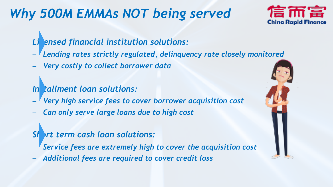### *Why 500M EMMAs NOT being served*



#### *Licensed financial institution solutions:*

- − *Lending rates strictly regulated, delinquency rate closely monitored*
- − *Very costly to collect borrower data*

#### In tallment loan solutions:

- − *Very high service fees to cover borrower acquisition cost*
- − *Can only serve large loans due to high cost*

#### *Short term cash loan solutions:*

- − *Service fees are extremely high to cover the acquisition cost*
- − *Additional fees are required to cover credit loss*

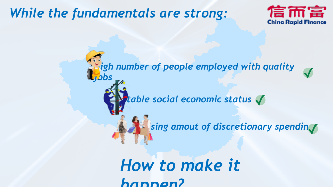#### *While the fundamentals are strong:*



*High number of people employed with quality jobs* ✓ *Stable social economic status* ✓ **Rising amout of discretionary spendin√** 

> *How to make it happen?*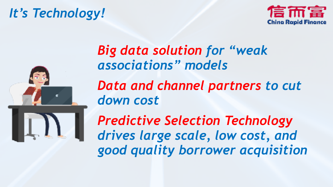### *It's Technology!*





### *Big data solution for "weak associations" models Data and channel partners to cut down cost*

*Predictive Selection Technology drives large scale, low cost, and good quality borrower acquisition*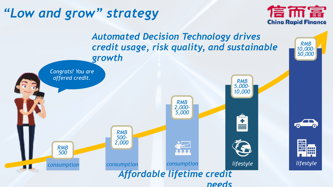### *"Low and grow" strategy*